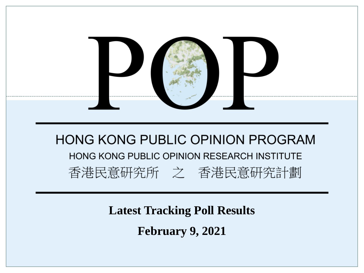

**Latest Tracking Poll Results**

**February 9, 2021**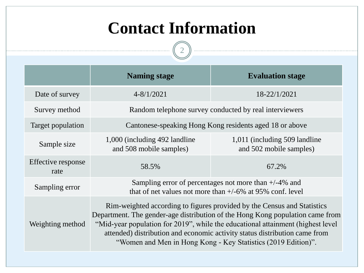## **Contact Information**

 $\boxed{2}$ 

--------

|                            | <b>Naming stage</b>                                                                                                                                                                                                                                                                                                                                                                        | <b>Evaluation stage</b>                                   |  |  |  |  |  |  |  |
|----------------------------|--------------------------------------------------------------------------------------------------------------------------------------------------------------------------------------------------------------------------------------------------------------------------------------------------------------------------------------------------------------------------------------------|-----------------------------------------------------------|--|--|--|--|--|--|--|
| Date of survey             | $4 - 8/1/2021$                                                                                                                                                                                                                                                                                                                                                                             | 18-22/1/2021                                              |  |  |  |  |  |  |  |
| Survey method              | Random telephone survey conducted by real interviewers                                                                                                                                                                                                                                                                                                                                     |                                                           |  |  |  |  |  |  |  |
| Target population          | Cantonese-speaking Hong Kong residents aged 18 or above                                                                                                                                                                                                                                                                                                                                    |                                                           |  |  |  |  |  |  |  |
| Sample size                | 1,000 (including 492 landline)<br>and 508 mobile samples)                                                                                                                                                                                                                                                                                                                                  | 1,011 (including 509 landline)<br>and 502 mobile samples) |  |  |  |  |  |  |  |
| Effective response<br>rate | 58.5%                                                                                                                                                                                                                                                                                                                                                                                      | 67.2%                                                     |  |  |  |  |  |  |  |
| Sampling error             | Sampling error of percentages not more than $+/-4\%$ and<br>that of net values not more than $+/-6\%$ at 95% conf. level                                                                                                                                                                                                                                                                   |                                                           |  |  |  |  |  |  |  |
| Weighting method           | Rim-weighted according to figures provided by the Census and Statistics<br>Department. The gender-age distribution of the Hong Kong population came from<br>"Mid-year population for 2019", while the educational attainment (highest level<br>attended) distribution and economic activity status distribution came from<br>"Women and Men in Hong Kong - Key Statistics (2019 Edition)". |                                                           |  |  |  |  |  |  |  |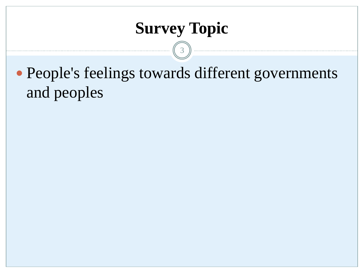## **Survey Topic**

3

 People's feelings towards different governments and peoples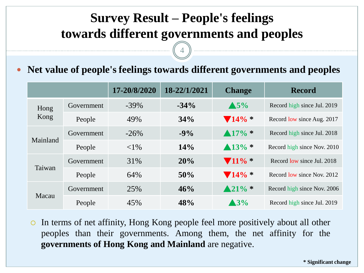### **Survey Result – People's feelings towards different governments and peoples**

4

#### **Net value of people's feelings towards different governments and peoples**

|              |            | 17-20/8/2020 | 18-22/1/2021 | <b>Change</b>               | <b>Record</b>               |  |  |
|--------------|------------|--------------|--------------|-----------------------------|-----------------------------|--|--|
| Hong<br>Kong | Government | $-39\%$      | $-34\%$      | $\triangle$ 5%              | Record high since Jul. 2019 |  |  |
|              | People     | 49%          | 34%          | $\blacktriangledown 14\% *$ | Record low since Aug. 2017  |  |  |
| Mainland     | Government | $-26\%$      | $-9\%$       | $\triangle 17\%$ *          | Record high since Jul. 2018 |  |  |
|              | People     | ${<}1\%$     | 14%          | $\triangle 13\%$ *          | Record high since Nov. 2010 |  |  |
| Taiwan       | Government | 31%          | 20%          | $\blacktriangledown 11\% *$ | Record low since Jul. 2018  |  |  |
|              | People     | 64%          | 50%          | $\blacktriangledown 14\%$ * | Record low since Nov. 2012  |  |  |
| Macau        | Government | 25%          | 46%          | $\triangle 21\%$ *          | Record high since Nov. 2006 |  |  |
|              | People     | 45%          | 48%          | $\blacktriangle$ 3%         | Record high since Jul. 2019 |  |  |

 In terms of net affinity, Hong Kong people feel more positively about all other peoples than their governments. Among them, the net affinity for the **governments of Hong Kong and Mainland** are negative.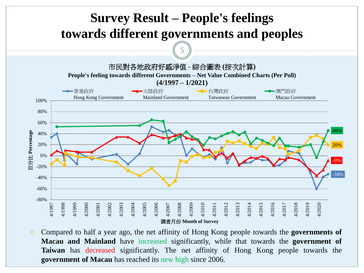

 Compared to half a year ago, the net affinity of Hong Kong people towards the **governments of Macau and Mainland** have increased significantly, while that towards the **government of Taiwan** has decreased significantly. The net affinity of Hong Kong people towards the **government of Macau** has reached its new high since 2006.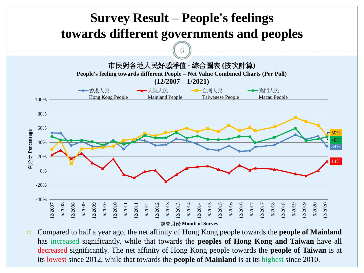

 Compared to half a year ago, the net affinity of Hong Kong people towards the **people of Mainland** has increased significantly, while that towards the **peoples of Hong Kong and Taiwan** have all decreased significantly. The net affinity of Hong Kong people towards the **people of Taiwan** is at its lowest since 2012, while that towards the **people of Mainland** is at its highest since 2010.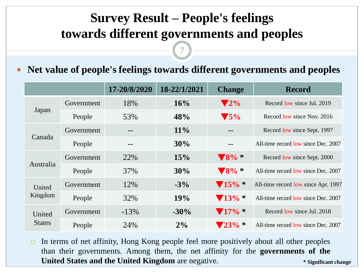### **Survey Result – People's feelings towards different governments and peoples**

7

#### **Net value of people's feelings towards different governments and peoples**

|                         |            | 17-20/8/2020 | 18-22/1/2021 | <b>Change</b>               | <b>Record</b>                       |
|-------------------------|------------|--------------|--------------|-----------------------------|-------------------------------------|
| Japan                   | Government | 18%          | 16%          | $\blacktriangledown 2\%$    | Record low since Jul. 2019          |
|                         | People     | 53%          | 48%          | $\blacktriangledown$ 5%     | Record low since Nov. 2016          |
|                         | Government |              | $11\%$       | $- -$                       | Record low since Sept. 1997         |
| Canada                  | People     |              | 30%          | --                          | All-time record low since Dec. 2007 |
| Australia               | Government | 22%          | 15%          | $\blacktriangledown 8\%$    | Record low since Sept. 2000         |
|                         | People     | 37%          | 30%          | $\blacktriangledown 8\%$    | All-time record low since Dec. 2007 |
| United                  | Government | 12%          | $-3\%$       | $\blacktriangledown 15\%$ * | All-time record low since Apr. 1997 |
| Kingdom                 | People     | 32%          | 19%          | $\blacktriangledown 13\%$ * | All-time record low since Dec. 2007 |
| United<br><b>States</b> | Government | $-13\%$      | $-30\%$      | $\blacktriangledown 17\%$ * | Record low since Jul. 2018          |
|                         | People     | 24%          | 2%           | $23\% *$                    | All-time record low since Dec. 2007 |

**\* Significant change** In terms of net affinity, Hong Kong people feel more positively about all other peoples than their governments. Among them, the net affinity for the **governments of the United States and the United Kingdom** are negative.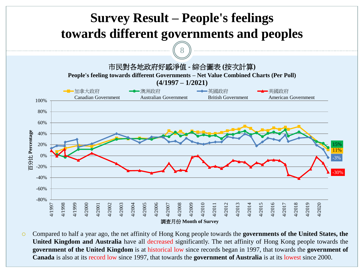

 Compared to half a year ago, the net affinity of Hong Kong people towards the **governments of the United States, the United Kingdom and Australia** have all decreased significantly. The net affinity of Hong Kong people towards the **government of the United Kingdom** is at historical low since records began in 1997, that towards the **government of Canada** is also at its record low since 1997, that towards the **government of Australia** is at its lowest since 2000.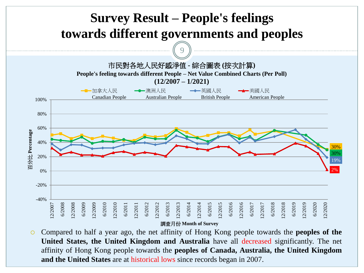

 Compared to half a year ago, the net affinity of Hong Kong people towards the **peoples of the United States, the United Kingdom and Australia** have all decreased significantly. The net affinity of Hong Kong people towards the **peoples of Canada, Australia, the United Kingdom and the United States** are at historical lows since records began in 2007.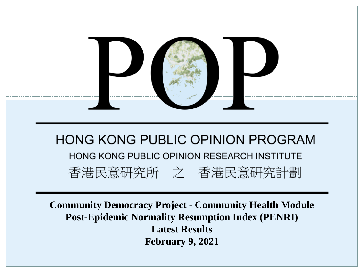

**Community Democracy Project - Community Health Module Post-Epidemic Normality Resumption Index (PENRI) Latest Results February 9, 2021**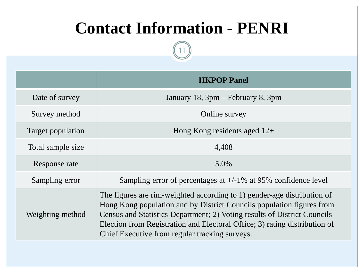## **Contact Information - PENRI**

11

|                   | <b>HKPOP Panel</b>                                                                                                                                                                                                                                                                                                                                           |
|-------------------|--------------------------------------------------------------------------------------------------------------------------------------------------------------------------------------------------------------------------------------------------------------------------------------------------------------------------------------------------------------|
| Date of survey    | January 18, 3pm – February 8, 3pm                                                                                                                                                                                                                                                                                                                            |
| Survey method     | Online survey                                                                                                                                                                                                                                                                                                                                                |
| Target population | Hong Kong residents aged $12+$                                                                                                                                                                                                                                                                                                                               |
| Total sample size | 4,408                                                                                                                                                                                                                                                                                                                                                        |
| Response rate     | 5.0%                                                                                                                                                                                                                                                                                                                                                         |
| Sampling error    | Sampling error of percentages at $+/-1\%$ at 95% confidence level                                                                                                                                                                                                                                                                                            |
| Weighting method  | The figures are rim-weighted according to 1) gender-age distribution of<br>Hong Kong population and by District Councils population figures from<br>Census and Statistics Department; 2) Voting results of District Councils<br>Election from Registration and Electoral Office; 3) rating distribution of<br>Chief Executive from regular tracking surveys. |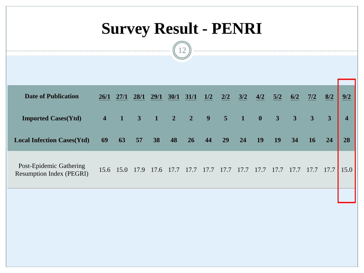# **Survey Result - PENRI**

12

| <b>Date of Publication</b>                                 | 26/1                    | 27/1      | 28/1           | 29/1           | 30/1                    | 31/1                       | 1/2         | 2/2  | 3/2          | 4/2          | 5/2                     | 6/2                     | 7/2                     | 8/2  | 9/2                     |
|------------------------------------------------------------|-------------------------|-----------|----------------|----------------|-------------------------|----------------------------|-------------|------|--------------|--------------|-------------------------|-------------------------|-------------------------|------|-------------------------|
| <b>Imported Cases(Ytd)</b>                                 | $\overline{\mathbf{4}}$ |           | $\overline{3}$ | $\blacksquare$ | $\overline{\mathbf{2}}$ | $\overline{\phantom{a}}$ 2 | $9 \quad 5$ |      | $\mathbf{1}$ | $\mathbf{0}$ | $\overline{\mathbf{3}}$ | $\overline{\mathbf{3}}$ | $\overline{\mathbf{3}}$ | 3    | $\overline{\mathbf{4}}$ |
| <b>Local Infection Cases(Ytd)</b>                          | 69                      | 63        | 57             | 38             | 48                      | 26                         | 44          | 29   | 24           | 19           | 19                      | 34                      | 16                      | 24   | 28                      |
| Post-Epidemic Gathering<br><b>Resumption Index (PEGRI)</b> |                         | 15.6 15.0 |                | 17.9 17.6 17.7 |                         | 17.7                       | 17.7        | 17.7 | 17.7         | 17.7         | 17.7                    | 17.7                    | 17.7                    | 17.7 | 15.0                    |
|                                                            |                         |           |                |                |                         |                            |             |      |              |              |                         |                         |                         |      |                         |